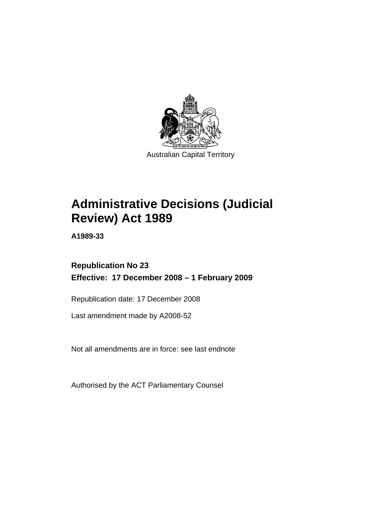

# **[Administrative Decisions \(Judicial](#page-4-0)  [Review\) Act 1989](#page-4-0)**

**A1989-33** 

## **Republication No 23 Effective: 17 December 2008 – 1 February 2009**

Republication date: 17 December 2008

Last amendment made by A2008-52

Not all amendments are in force: see last endnote

Authorised by the ACT Parliamentary Counsel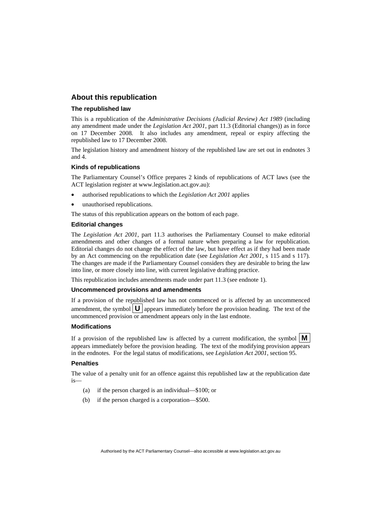## **About this republication**

#### **The republished law**

This is a republication of the *Administrative Decisions (Judicial Review) Act 1989* (including any amendment made under the *Legislation Act 2001*, part 11.3 (Editorial changes)) as in force on 17 December 2008*.* It also includes any amendment, repeal or expiry affecting the republished law to 17 December 2008.

The legislation history and amendment history of the republished law are set out in endnotes 3 and 4.

#### **Kinds of republications**

The Parliamentary Counsel's Office prepares 2 kinds of republications of ACT laws (see the ACT legislation register at www.legislation.act.gov.au):

- authorised republications to which the *Legislation Act 2001* applies
- unauthorised republications.

The status of this republication appears on the bottom of each page.

#### **Editorial changes**

The *Legislation Act 2001*, part 11.3 authorises the Parliamentary Counsel to make editorial amendments and other changes of a formal nature when preparing a law for republication. Editorial changes do not change the effect of the law, but have effect as if they had been made by an Act commencing on the republication date (see *Legislation Act 2001*, s 115 and s 117). The changes are made if the Parliamentary Counsel considers they are desirable to bring the law into line, or more closely into line, with current legislative drafting practice.

This republication includes amendments made under part 11.3 (see endnote 1).

#### **Uncommenced provisions and amendments**

If a provision of the republished law has not commenced or is affected by an uncommenced amendment, the symbol  $\mathbf{U}$  appears immediately before the provision heading. The text of the uncommenced provision  $\overline{or}$  amendment appears only in the last endnote.

#### **Modifications**

If a provision of the republished law is affected by a current modification, the symbol  $\mathbf{M}$ appears immediately before the provision heading. The text of the modifying provision appears in the endnotes. For the legal status of modifications, see *Legislation Act 2001*, section 95.

#### **Penalties**

The value of a penalty unit for an offence against this republished law at the republication date is—

- (a) if the person charged is an individual—\$100; or
- (b) if the person charged is a corporation—\$500.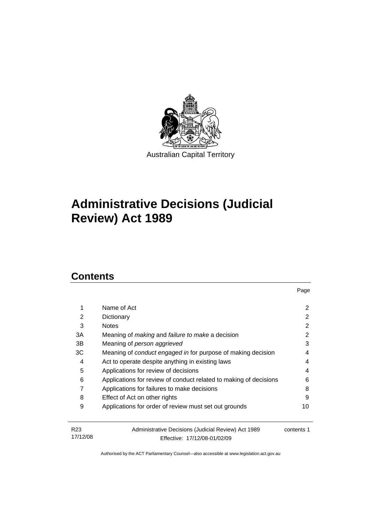

# **[Administrative Decisions \(Judicial](#page-4-0)  [Review\) Act 1989](#page-4-0)**

## **Contents**

|                 |                                                                     | Page       |
|-----------------|---------------------------------------------------------------------|------------|
| 1               | Name of Act                                                         | 2          |
| 2               | Dictionary                                                          | 2          |
| 3               | <b>Notes</b>                                                        | 2          |
| 3A              | Meaning of <i>making</i> and <i>failure to make</i> a decision      | 2          |
| 3B              | Meaning of person aggrieved                                         | 3          |
| ЗC              | Meaning of <i>conduct engaged in</i> for purpose of making decision | 4          |
| 4               | Act to operate despite anything in existing laws                    | 4          |
| 5               | Applications for review of decisions                                | 4          |
| 6               | Applications for review of conduct related to making of decisions   | 6          |
| 7               | Applications for failures to make decisions                         | 8          |
| 8               | Effect of Act on other rights                                       | 9          |
| 9               | Applications for order of review must set out grounds               | 10         |
| R <sub>23</sub> | Administrative Decisions (Judicial Review) Act 1989                 | contents 1 |
| 17/12/08        | Effective: 17/12/08-01/02/09                                        |            |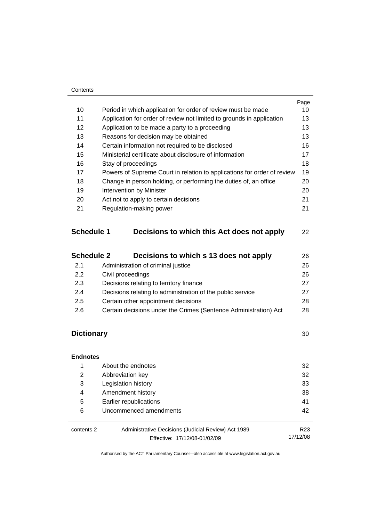#### **Contents**

|    |                                                                         | Page |
|----|-------------------------------------------------------------------------|------|
| 10 | Period in which application for order of review must be made            | 10   |
| 11 | Application for order of review not limited to grounds in application   | 13   |
| 12 | Application to be made a party to a proceeding                          | 13   |
| 13 | Reasons for decision may be obtained                                    | 13   |
| 14 | Certain information not required to be disclosed                        | 16   |
| 15 | Ministerial certificate about disclosure of information                 | 17   |
| 16 | Stay of proceedings                                                     | 18   |
| 17 | Powers of Supreme Court in relation to applications for order of review | 19   |
| 18 | Change in person holding, or performing the duties of, an office        | 20   |
| 19 | Intervention by Minister                                                | 20   |
| 20 | Act not to apply to certain decisions                                   | 21   |
| 21 | Regulation-making power                                                 | 21   |
|    |                                                                         |      |

## **Schedule 1 Decisions to which this Act does not apply** [22](#page-25-0)

| <b>Schedule 2</b> | Decisions to which s 13 does not apply                           | 26 |
|-------------------|------------------------------------------------------------------|----|
| 2.1               | Administration of criminal justice                               | 26 |
| 2.2               | Civil proceedings                                                | 26 |
| 2.3               | Decisions relating to territory finance                          | 27 |
| 2.4               | Decisions relating to administration of the public service       | 27 |
| 2.5               | Certain other appointment decisions                              | 28 |
| 2.6               | Certain decisions under the Crimes (Sentence Administration) Act | 28 |
|                   |                                                                  |    |

## **Dictionary** [30](#page-33-0)

| <b>Endnotes</b> |                                                                                     |                             |
|-----------------|-------------------------------------------------------------------------------------|-----------------------------|
|                 | About the endnotes                                                                  | 32                          |
| 2               | Abbreviation key                                                                    | 32                          |
| 3               | Legislation history                                                                 | 33                          |
| 4               | Amendment history                                                                   | 38                          |
| 5               | Earlier republications                                                              | 41                          |
| 6               | Uncommenced amendments                                                              | 42                          |
| contents 2      | Administrative Decisions (Judicial Review) Act 1989<br>Effective: 17/12/08-01/02/09 | R <sub>23</sub><br>17/12/08 |

Effective: 17/12/08-01/02/09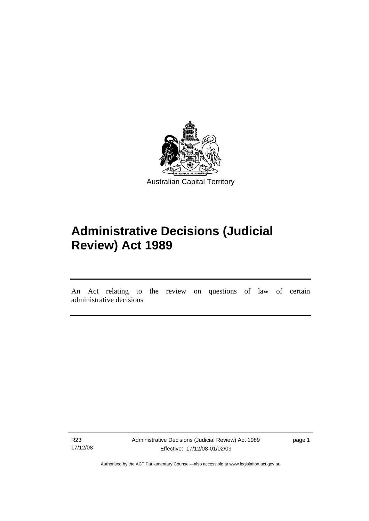<span id="page-4-0"></span>

# **Administrative Decisions (Judicial Review) Act 1989**

An Act relating to the review on questions of law of certain administrative decisions

R23 17/12/08

ׇ֚֡֬

Administrative Decisions (Judicial Review) Act 1989 Effective: 17/12/08-01/02/09

page 1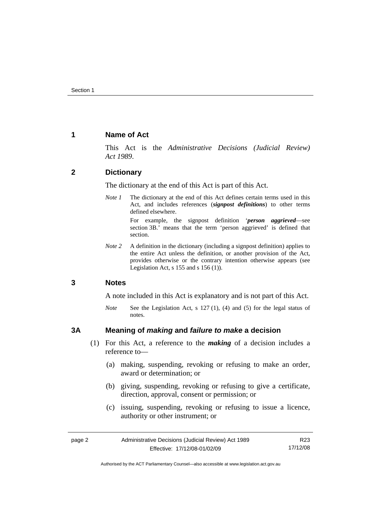## <span id="page-5-0"></span>**1 Name of Act**

This Act is the *Administrative Decisions (Judicial Review) Act 1989*.

## **2 Dictionary**

The dictionary at the end of this Act is part of this Act.

*Note 1* The dictionary at the end of this Act defines certain terms used in this Act, and includes references (*signpost definitions*) to other terms defined elsewhere.

> For example, the signpost definition '*person aggrieved*—see section 3B.' means that the term 'person aggrieved' is defined that section.

*Note* 2 A definition in the dictionary (including a signpost definition) applies to the entire Act unless the definition, or another provision of the Act, provides otherwise or the contrary intention otherwise appears (see Legislation Act, s  $155$  and s  $156$  (1)).

## **3 Notes**

A note included in this Act is explanatory and is not part of this Act.

*Note* See the Legislation Act, s 127 (1), (4) and (5) for the legal status of notes.

## **3A Meaning of** *making* **and** *failure to make* **a decision**

- (1) For this Act, a reference to the *making* of a decision includes a reference to—
	- (a) making, suspending, revoking or refusing to make an order, award or determination; or
	- (b) giving, suspending, revoking or refusing to give a certificate, direction, approval, consent or permission; or
	- (c) issuing, suspending, revoking or refusing to issue a licence, authority or other instrument; or

| page 2 | Administrative Decisions (Judicial Review) Act 1989 | R23      |
|--------|-----------------------------------------------------|----------|
|        | Effective: 17/12/08-01/02/09                        | 17/12/08 |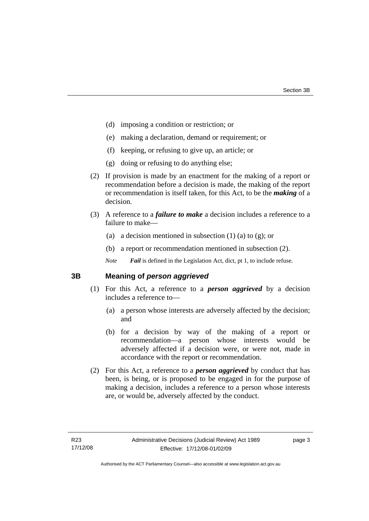- <span id="page-6-0"></span>(d) imposing a condition or restriction; or
- (e) making a declaration, demand or requirement; or
- (f) keeping, or refusing to give up, an article; or
- (g) doing or refusing to do anything else;
- (2) If provision is made by an enactment for the making of a report or recommendation before a decision is made, the making of the report or recommendation is itself taken, for this Act, to be the *making* of a decision.
- (3) A reference to a *failure to make* a decision includes a reference to a failure to make—
	- (a) a decision mentioned in subsection  $(1)$  (a) to  $(g)$ ; or
	- (b) a report or recommendation mentioned in subsection (2).

*Note Fail* is defined in the Legislation Act, dict, pt 1, to include refuse.

## **3B Meaning of** *person aggrieved*

- (1) For this Act, a reference to a *person aggrieved* by a decision includes a reference to—
	- (a) a person whose interests are adversely affected by the decision; and
	- (b) for a decision by way of the making of a report or recommendation—a person whose interests would be adversely affected if a decision were, or were not, made in accordance with the report or recommendation.
- (2) For this Act, a reference to a *person aggrieved* by conduct that has been, is being, or is proposed to be engaged in for the purpose of making a decision, includes a reference to a person whose interests are, or would be, adversely affected by the conduct.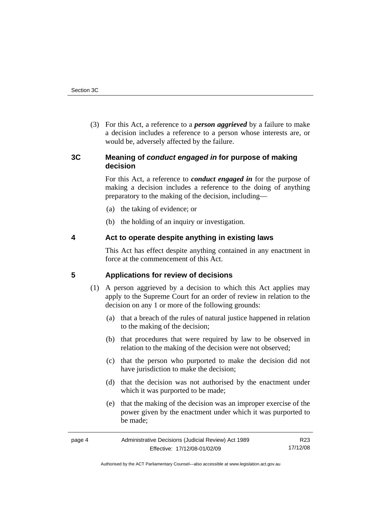<span id="page-7-0"></span> (3) For this Act, a reference to a *person aggrieved* by a failure to make a decision includes a reference to a person whose interests are, or would be, adversely affected by the failure.

## **3C Meaning of** *conduct engaged in* **for purpose of making decision**

For this Act, a reference to *conduct engaged in* for the purpose of making a decision includes a reference to the doing of anything preparatory to the making of the decision, including—

- (a) the taking of evidence; or
- (b) the holding of an inquiry or investigation.

## **4 Act to operate despite anything in existing laws**

This Act has effect despite anything contained in any enactment in force at the commencement of this Act.

## **5 Applications for review of decisions**

- (1) A person aggrieved by a decision to which this Act applies may apply to the Supreme Court for an order of review in relation to the decision on any 1 or more of the following grounds:
	- (a) that a breach of the rules of natural justice happened in relation to the making of the decision;
	- (b) that procedures that were required by law to be observed in relation to the making of the decision were not observed;
	- (c) that the person who purported to make the decision did not have jurisdiction to make the decision;
	- (d) that the decision was not authorised by the enactment under which it was purported to be made;
	- (e) that the making of the decision was an improper exercise of the power given by the enactment under which it was purported to be made;

| page 4 | Administrative Decisions (Judicial Review) Act 1989 | R23      |
|--------|-----------------------------------------------------|----------|
|        | Effective: 17/12/08-01/02/09                        | 17/12/08 |

Authorised by the ACT Parliamentary Counsel—also accessible at www.legislation.act.gov.au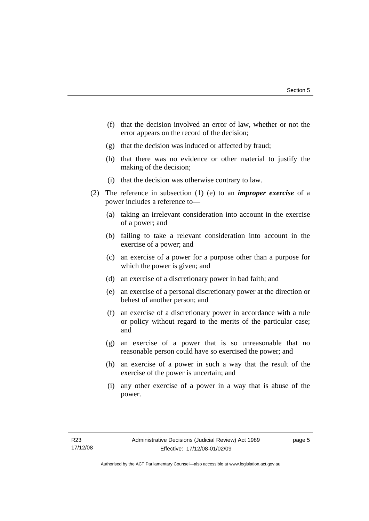- (f) that the decision involved an error of law, whether or not the error appears on the record of the decision;
- (g) that the decision was induced or affected by fraud;
- (h) that there was no evidence or other material to justify the making of the decision;
- (i) that the decision was otherwise contrary to law.
- (2) The reference in subsection (1) (e) to an *improper exercise* of a power includes a reference to—
	- (a) taking an irrelevant consideration into account in the exercise of a power; and
	- (b) failing to take a relevant consideration into account in the exercise of a power; and
	- (c) an exercise of a power for a purpose other than a purpose for which the power is given; and
	- (d) an exercise of a discretionary power in bad faith; and
	- (e) an exercise of a personal discretionary power at the direction or behest of another person; and
	- (f) an exercise of a discretionary power in accordance with a rule or policy without regard to the merits of the particular case; and
	- (g) an exercise of a power that is so unreasonable that no reasonable person could have so exercised the power; and
	- (h) an exercise of a power in such a way that the result of the exercise of the power is uncertain; and
	- (i) any other exercise of a power in a way that is abuse of the power.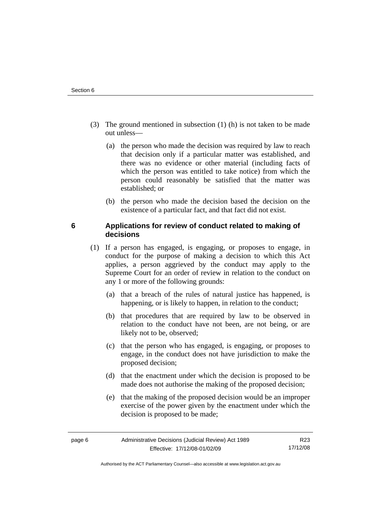- <span id="page-9-0"></span> (3) The ground mentioned in subsection (1) (h) is not taken to be made out unless—
	- (a) the person who made the decision was required by law to reach that decision only if a particular matter was established, and there was no evidence or other material (including facts of which the person was entitled to take notice) from which the person could reasonably be satisfied that the matter was established; or
	- (b) the person who made the decision based the decision on the existence of a particular fact, and that fact did not exist.

## **6 Applications for review of conduct related to making of decisions**

- (1) If a person has engaged, is engaging, or proposes to engage, in conduct for the purpose of making a decision to which this Act applies, a person aggrieved by the conduct may apply to the Supreme Court for an order of review in relation to the conduct on any 1 or more of the following grounds:
	- (a) that a breach of the rules of natural justice has happened, is happening, or is likely to happen, in relation to the conduct;
	- (b) that procedures that are required by law to be observed in relation to the conduct have not been, are not being, or are likely not to be, observed;
	- (c) that the person who has engaged, is engaging, or proposes to engage, in the conduct does not have jurisdiction to make the proposed decision;
	- (d) that the enactment under which the decision is proposed to be made does not authorise the making of the proposed decision;
	- (e) that the making of the proposed decision would be an improper exercise of the power given by the enactment under which the decision is proposed to be made;

Authorised by the ACT Parliamentary Counsel—also accessible at www.legislation.act.gov.au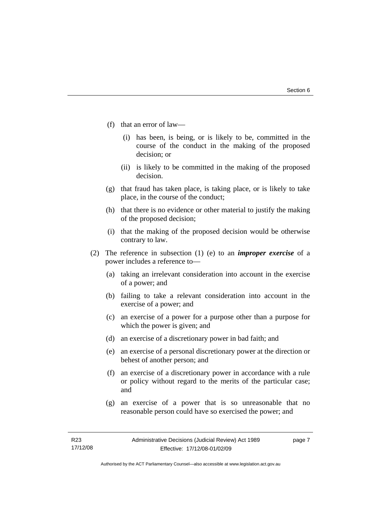- (f) that an error of law—
	- (i) has been, is being, or is likely to be, committed in the course of the conduct in the making of the proposed decision; or
	- (ii) is likely to be committed in the making of the proposed decision.
- (g) that fraud has taken place, is taking place, or is likely to take place, in the course of the conduct;
- (h) that there is no evidence or other material to justify the making of the proposed decision;
- (i) that the making of the proposed decision would be otherwise contrary to law.
- (2) The reference in subsection (1) (e) to an *improper exercise* of a power includes a reference to—
	- (a) taking an irrelevant consideration into account in the exercise of a power; and
	- (b) failing to take a relevant consideration into account in the exercise of a power; and
	- (c) an exercise of a power for a purpose other than a purpose for which the power is given; and
	- (d) an exercise of a discretionary power in bad faith; and
	- (e) an exercise of a personal discretionary power at the direction or behest of another person; and
	- (f) an exercise of a discretionary power in accordance with a rule or policy without regard to the merits of the particular case; and
	- (g) an exercise of a power that is so unreasonable that no reasonable person could have so exercised the power; and

page 7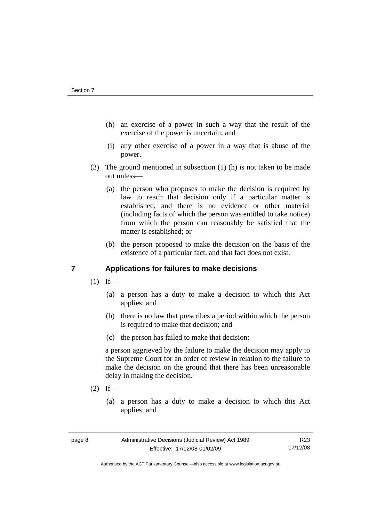- <span id="page-11-0"></span> (h) an exercise of a power in such a way that the result of the exercise of the power is uncertain; and
- (i) any other exercise of a power in a way that is abuse of the power.
- (3) The ground mentioned in subsection (1) (h) is not taken to be made out unless—
	- (a) the person who proposes to make the decision is required by law to reach that decision only if a particular matter is established, and there is no evidence or other material (including facts of which the person was entitled to take notice) from which the person can reasonably be satisfied that the matter is established; or
	- (b) the person proposed to make the decision on the basis of the existence of a particular fact, and that fact does not exist.

## **7 Applications for failures to make decisions**

- $(1)$  If—
	- (a) a person has a duty to make a decision to which this Act applies; and
	- (b) there is no law that prescribes a period within which the person is required to make that decision; and
	- (c) the person has failed to make that decision;

a person aggrieved by the failure to make the decision may apply to the Supreme Court for an order of review in relation to the failure to make the decision on the ground that there has been unreasonable delay in making the decision.

- $(2)$  If—
	- (a) a person has a duty to make a decision to which this Act applies; and

Authorised by the ACT Parliamentary Counsel—also accessible at www.legislation.act.gov.au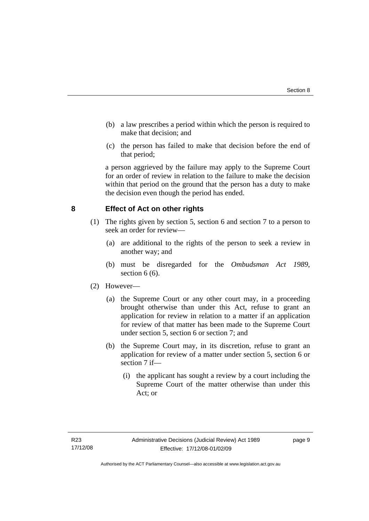- <span id="page-12-0"></span> (b) a law prescribes a period within which the person is required to make that decision; and
- (c) the person has failed to make that decision before the end of that period;

a person aggrieved by the failure may apply to the Supreme Court for an order of review in relation to the failure to make the decision within that period on the ground that the person has a duty to make the decision even though the period has ended.

## **8 Effect of Act on other rights**

- (1) The rights given by section 5, section 6 and section 7 to a person to seek an order for review—
	- (a) are additional to the rights of the person to seek a review in another way; and
	- (b) must be disregarded for the *Ombudsman Act 1989*, section  $6(6)$ .

### (2) However—

- (a) the Supreme Court or any other court may, in a proceeding brought otherwise than under this Act, refuse to grant an application for review in relation to a matter if an application for review of that matter has been made to the Supreme Court under section 5, section 6 or section 7; and
- (b) the Supreme Court may, in its discretion, refuse to grant an application for review of a matter under section 5, section 6 or section 7 if—
	- (i) the applicant has sought a review by a court including the Supreme Court of the matter otherwise than under this Act; or

page 9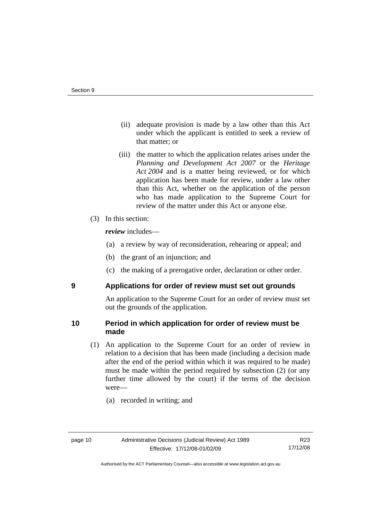- <span id="page-13-0"></span> (ii) adequate provision is made by a law other than this Act under which the applicant is entitled to seek a review of that matter; or
- (iii) the matter to which the application relates arises under the *Planning and Development Act 2007* or the *Heritage Act 2004* and is a matter being reviewed, or for which application has been made for review, under a law other than this Act, whether on the application of the person who has made application to the Supreme Court for review of the matter under this Act or anyone else.
- (3) In this section:

*review* includes—

- (a) a review by way of reconsideration, rehearing or appeal; and
- (b) the grant of an injunction; and
- (c) the making of a prerogative order, declaration or other order.

### **9 Applications for order of review must set out grounds**

An application to the Supreme Court for an order of review must set out the grounds of the application.

## **10 Period in which application for order of review must be made**

- (1) An application to the Supreme Court for an order of review in relation to a decision that has been made (including a decision made after the end of the period within which it was required to be made) must be made within the period required by subsection (2) (or any further time allowed by the court) if the terms of the decision were—
	- (a) recorded in writing; and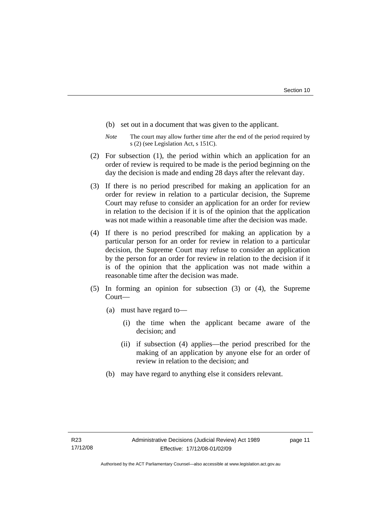- (b) set out in a document that was given to the applicant.
- *Note* The court may allow further time after the end of the period required by s (2) (see Legislation Act, s 151C).
- (2) For subsection (1), the period within which an application for an order of review is required to be made is the period beginning on the day the decision is made and ending 28 days after the relevant day.
- (3) If there is no period prescribed for making an application for an order for review in relation to a particular decision, the Supreme Court may refuse to consider an application for an order for review in relation to the decision if it is of the opinion that the application was not made within a reasonable time after the decision was made.
- (4) If there is no period prescribed for making an application by a particular person for an order for review in relation to a particular decision, the Supreme Court may refuse to consider an application by the person for an order for review in relation to the decision if it is of the opinion that the application was not made within a reasonable time after the decision was made.
- (5) In forming an opinion for subsection (3) or (4), the Supreme Court—
	- (a) must have regard to—
		- (i) the time when the applicant became aware of the decision; and
		- (ii) if subsection (4) applies—the period prescribed for the making of an application by anyone else for an order of review in relation to the decision; and
	- (b) may have regard to anything else it considers relevant.

page 11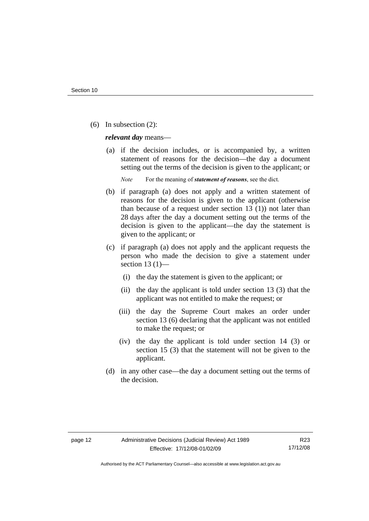(6) In subsection (2):

*relevant day* means—

 (a) if the decision includes, or is accompanied by, a written statement of reasons for the decision—the day a document setting out the terms of the decision is given to the applicant; or

*Note* For the meaning of *statement of reasons*, see the dict.

- (b) if paragraph (a) does not apply and a written statement of reasons for the decision is given to the applicant (otherwise than because of a request under section 13 (1)) not later than 28 days after the day a document setting out the terms of the decision is given to the applicant—the day the statement is given to the applicant; or
- (c) if paragraph (a) does not apply and the applicant requests the person who made the decision to give a statement under section 13 $(1)$ —
	- (i) the day the statement is given to the applicant; or
	- (ii) the day the applicant is told under section 13 (3) that the applicant was not entitled to make the request; or
	- (iii) the day the Supreme Court makes an order under section 13 (6) declaring that the applicant was not entitled to make the request; or
	- (iv) the day the applicant is told under section 14 (3) or section 15 (3) that the statement will not be given to the applicant.
- (d) in any other case—the day a document setting out the terms of the decision.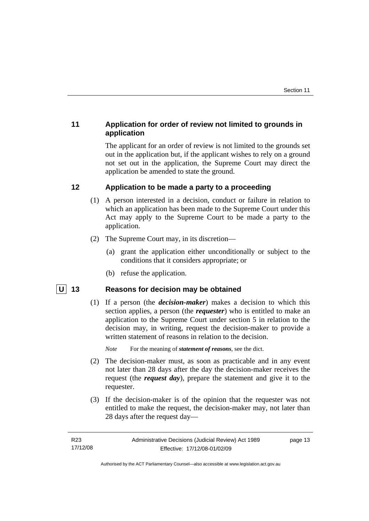## <span id="page-16-0"></span>**11 Application for order of review not limited to grounds in application**

The applicant for an order of review is not limited to the grounds set out in the application but, if the applicant wishes to rely on a ground not set out in the application, the Supreme Court may direct the application be amended to state the ground.

## **12 Application to be made a party to a proceeding**

- (1) A person interested in a decision, conduct or failure in relation to which an application has been made to the Supreme Court under this Act may apply to the Supreme Court to be made a party to the application.
- (2) The Supreme Court may, in its discretion—
	- (a) grant the application either unconditionally or subject to the conditions that it considers appropriate; or
	- (b) refuse the application.

## **U** 13 Reasons for decision may be obtained

 (1) If a person (the *decision-maker*) makes a decision to which this section applies, a person (the *requester*) who is entitled to make an application to the Supreme Court under section 5 in relation to the decision may, in writing, request the decision-maker to provide a written statement of reasons in relation to the decision.

*Note* For the meaning of *statement of reasons*, see the dict.

- (2) The decision-maker must, as soon as practicable and in any event not later than 28 days after the day the decision-maker receives the request (the *request day*), prepare the statement and give it to the requester.
- (3) If the decision-maker is of the opinion that the requester was not entitled to make the request, the decision-maker may, not later than 28 days after the request day—

Authorised by the ACT Parliamentary Counsel—also accessible at www.legislation.act.gov.au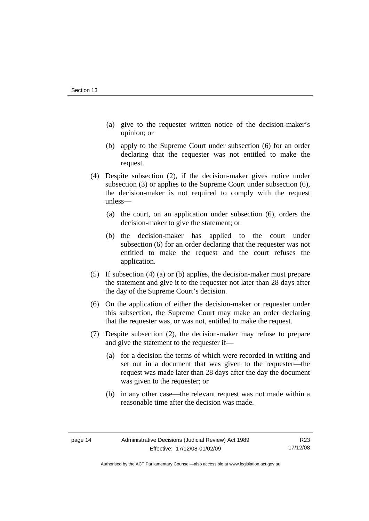- (a) give to the requester written notice of the decision-maker's opinion; or
- (b) apply to the Supreme Court under subsection (6) for an order declaring that the requester was not entitled to make the request.
- (4) Despite subsection (2), if the decision-maker gives notice under subsection (3) or applies to the Supreme Court under subsection (6), the decision-maker is not required to comply with the request unless—
	- (a) the court, on an application under subsection (6), orders the decision-maker to give the statement; or
	- (b) the decision-maker has applied to the court under subsection (6) for an order declaring that the requester was not entitled to make the request and the court refuses the application.
- (5) If subsection (4) (a) or (b) applies, the decision-maker must prepare the statement and give it to the requester not later than 28 days after the day of the Supreme Court's decision.
- (6) On the application of either the decision-maker or requester under this subsection, the Supreme Court may make an order declaring that the requester was, or was not, entitled to make the request.
- (7) Despite subsection (2), the decision-maker may refuse to prepare and give the statement to the requester if—
	- (a) for a decision the terms of which were recorded in writing and set out in a document that was given to the requester—the request was made later than 28 days after the day the document was given to the requester; or
	- (b) in any other case—the relevant request was not made within a reasonable time after the decision was made.

Authorised by the ACT Parliamentary Counsel—also accessible at www.legislation.act.gov.au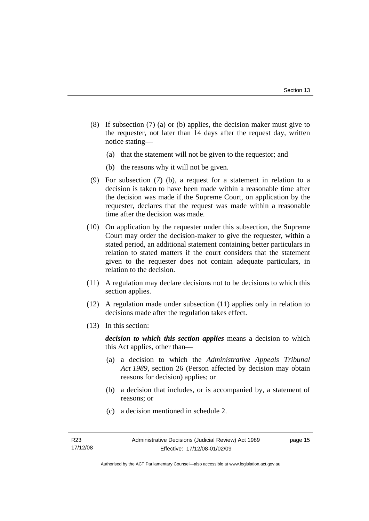- (8) If subsection (7) (a) or (b) applies, the decision maker must give to the requester, not later than 14 days after the request day, written notice stating—
	- (a) that the statement will not be given to the requestor; and
	- (b) the reasons why it will not be given.
- (9) For subsection (7) (b), a request for a statement in relation to a decision is taken to have been made within a reasonable time after the decision was made if the Supreme Court, on application by the requester, declares that the request was made within a reasonable time after the decision was made.
- (10) On application by the requester under this subsection, the Supreme Court may order the decision-maker to give the requester, within a stated period, an additional statement containing better particulars in relation to stated matters if the court considers that the statement given to the requester does not contain adequate particulars, in relation to the decision.
- (11) A regulation may declare decisions not to be decisions to which this section applies.
- (12) A regulation made under subsection (11) applies only in relation to decisions made after the regulation takes effect.
- (13) In this section:

*decision to which this section applies* means a decision to which this Act applies, other than—

- (a) a decision to which the *Administrative Appeals Tribunal Act 1989*, section 26 (Person affected by decision may obtain reasons for decision) applies; or
- (b) a decision that includes, or is accompanied by, a statement of reasons; or
- (c) a decision mentioned in schedule 2.

page 15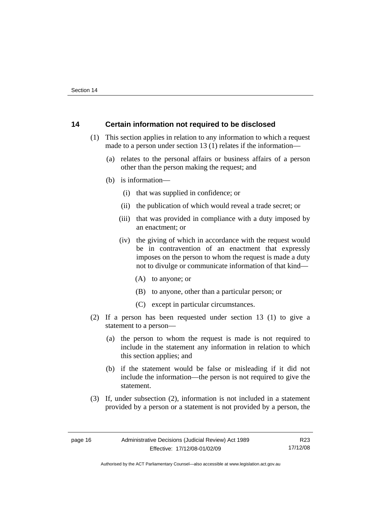## <span id="page-19-0"></span>**14 Certain information not required to be disclosed**

- (1) This section applies in relation to any information to which a request made to a person under section 13 (1) relates if the information—
	- (a) relates to the personal affairs or business affairs of a person other than the person making the request; and
	- (b) is information—
		- (i) that was supplied in confidence; or
		- (ii) the publication of which would reveal a trade secret; or
		- (iii) that was provided in compliance with a duty imposed by an enactment; or
		- (iv) the giving of which in accordance with the request would be in contravention of an enactment that expressly imposes on the person to whom the request is made a duty not to divulge or communicate information of that kind—
			- (A) to anyone; or
			- (B) to anyone, other than a particular person; or
			- (C) except in particular circumstances.
- (2) If a person has been requested under section 13 (1) to give a statement to a person—
	- (a) the person to whom the request is made is not required to include in the statement any information in relation to which this section applies; and
	- (b) if the statement would be false or misleading if it did not include the information—the person is not required to give the statement.
- (3) If, under subsection (2), information is not included in a statement provided by a person or a statement is not provided by a person, the

Authorised by the ACT Parliamentary Counsel—also accessible at www.legislation.act.gov.au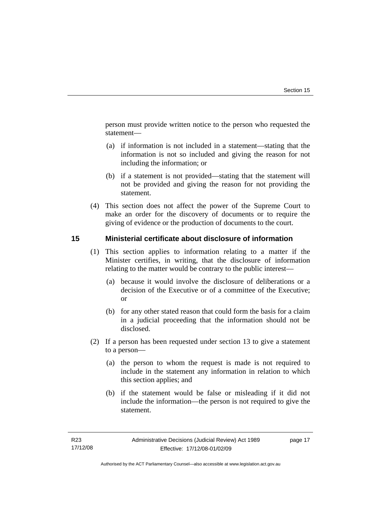<span id="page-20-0"></span>person must provide written notice to the person who requested the statement—

- (a) if information is not included in a statement—stating that the information is not so included and giving the reason for not including the information; or
- (b) if a statement is not provided—stating that the statement will not be provided and giving the reason for not providing the statement.
- (4) This section does not affect the power of the Supreme Court to make an order for the discovery of documents or to require the giving of evidence or the production of documents to the court.

## **15 Ministerial certificate about disclosure of information**

- (1) This section applies to information relating to a matter if the Minister certifies, in writing, that the disclosure of information relating to the matter would be contrary to the public interest—
	- (a) because it would involve the disclosure of deliberations or a decision of the Executive or of a committee of the Executive; or
	- (b) for any other stated reason that could form the basis for a claim in a judicial proceeding that the information should not be disclosed.
- (2) If a person has been requested under section 13 to give a statement to a person—
	- (a) the person to whom the request is made is not required to include in the statement any information in relation to which this section applies; and
	- (b) if the statement would be false or misleading if it did not include the information—the person is not required to give the statement.

page 17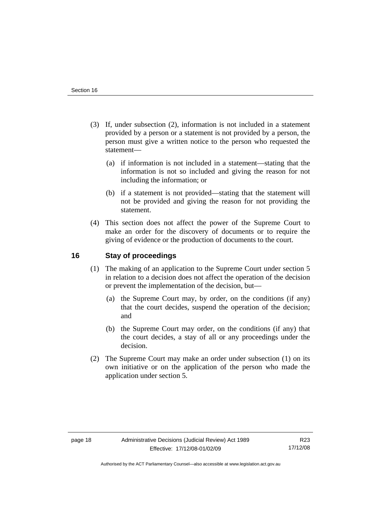- <span id="page-21-0"></span> (3) If, under subsection (2), information is not included in a statement provided by a person or a statement is not provided by a person, the person must give a written notice to the person who requested the statement—
	- (a) if information is not included in a statement—stating that the information is not so included and giving the reason for not including the information; or
	- (b) if a statement is not provided—stating that the statement will not be provided and giving the reason for not providing the statement.
- (4) This section does not affect the power of the Supreme Court to make an order for the discovery of documents or to require the giving of evidence or the production of documents to the court.

## **16 Stay of proceedings**

- (1) The making of an application to the Supreme Court under section 5 in relation to a decision does not affect the operation of the decision or prevent the implementation of the decision, but—
	- (a) the Supreme Court may, by order, on the conditions (if any) that the court decides, suspend the operation of the decision; and
	- (b) the Supreme Court may order, on the conditions (if any) that the court decides, a stay of all or any proceedings under the decision.
- (2) The Supreme Court may make an order under subsection (1) on its own initiative or on the application of the person who made the application under section 5.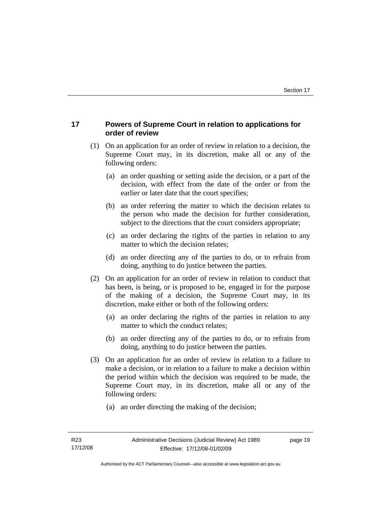## <span id="page-22-0"></span>**17 Powers of Supreme Court in relation to applications for order of review**

- (1) On an application for an order of review in relation to a decision, the Supreme Court may, in its discretion, make all or any of the following orders:
	- (a) an order quashing or setting aside the decision, or a part of the decision, with effect from the date of the order or from the earlier or later date that the court specifies;
	- (b) an order referring the matter to which the decision relates to the person who made the decision for further consideration, subject to the directions that the court considers appropriate;
	- (c) an order declaring the rights of the parties in relation to any matter to which the decision relates;
	- (d) an order directing any of the parties to do, or to refrain from doing, anything to do justice between the parties.
- (2) On an application for an order of review in relation to conduct that has been, is being, or is proposed to be, engaged in for the purpose of the making of a decision, the Supreme Court may, in its discretion, make either or both of the following orders:
	- (a) an order declaring the rights of the parties in relation to any matter to which the conduct relates;
	- (b) an order directing any of the parties to do, or to refrain from doing, anything to do justice between the parties.
- (3) On an application for an order of review in relation to a failure to make a decision, or in relation to a failure to make a decision within the period within which the decision was required to be made, the Supreme Court may, in its discretion, make all or any of the following orders:
	- (a) an order directing the making of the decision;

page 19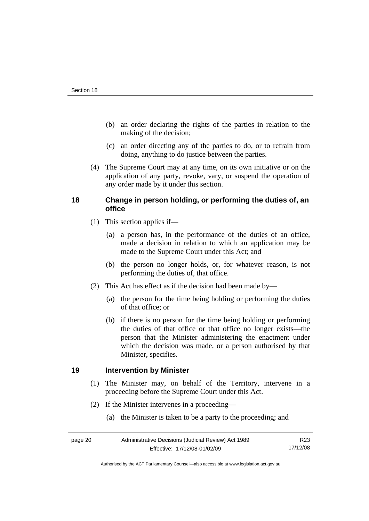- <span id="page-23-0"></span> (b) an order declaring the rights of the parties in relation to the making of the decision;
- (c) an order directing any of the parties to do, or to refrain from doing, anything to do justice between the parties.
- (4) The Supreme Court may at any time, on its own initiative or on the application of any party, revoke, vary, or suspend the operation of any order made by it under this section.

## **18 Change in person holding, or performing the duties of, an office**

- (1) This section applies if—
	- (a) a person has, in the performance of the duties of an office, made a decision in relation to which an application may be made to the Supreme Court under this Act; and
	- (b) the person no longer holds, or, for whatever reason, is not performing the duties of, that office.
- (2) This Act has effect as if the decision had been made by—
	- (a) the person for the time being holding or performing the duties of that office; or
	- (b) if there is no person for the time being holding or performing the duties of that office or that office no longer exists—the person that the Minister administering the enactment under which the decision was made, or a person authorised by that Minister, specifies.

## **19 Intervention by Minister**

- (1) The Minister may, on behalf of the Territory, intervene in a proceeding before the Supreme Court under this Act.
- (2) If the Minister intervenes in a proceeding—
	- (a) the Minister is taken to be a party to the proceeding; and

Authorised by the ACT Parliamentary Counsel—also accessible at www.legislation.act.gov.au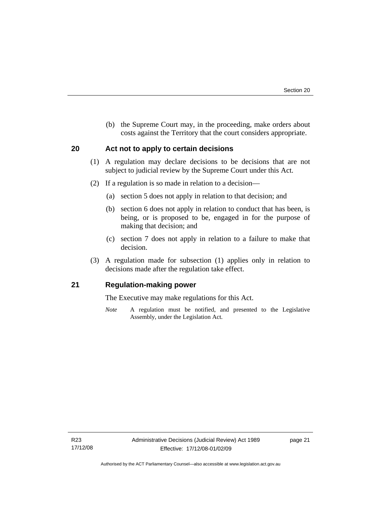<span id="page-24-0"></span> (b) the Supreme Court may, in the proceeding, make orders about costs against the Territory that the court considers appropriate.

## **20 Act not to apply to certain decisions**

- (1) A regulation may declare decisions to be decisions that are not subject to judicial review by the Supreme Court under this Act.
- (2) If a regulation is so made in relation to a decision—
	- (a) section 5 does not apply in relation to that decision; and
	- (b) section 6 does not apply in relation to conduct that has been, is being, or is proposed to be, engaged in for the purpose of making that decision; and
	- (c) section 7 does not apply in relation to a failure to make that decision.
- (3) A regulation made for subsection (1) applies only in relation to decisions made after the regulation take effect.

## **21 Regulation-making power**

The Executive may make regulations for this Act.

*Note* A regulation must be notified, and presented to the Legislative Assembly, under the Legislation Act.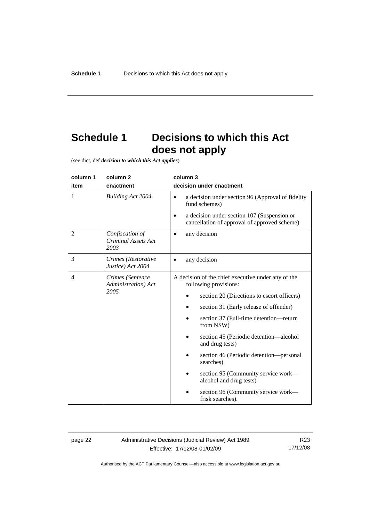# <span id="page-25-0"></span>**Schedule 1 Decisions to which this Act does not apply**

(see dict, def *decision to which this Act applies*)

| column 1                                     | column <sub>2</sub>                                   | column 3                                                                                                                       |  |
|----------------------------------------------|-------------------------------------------------------|--------------------------------------------------------------------------------------------------------------------------------|--|
| item                                         | enactment                                             | decision under enactment                                                                                                       |  |
| 1                                            | <b>Building Act 2004</b>                              | a decision under section 96 (Approval of fidelity<br>$\bullet$<br>fund schemes)<br>a decision under section 107 (Suspension or |  |
|                                              |                                                       | cancellation of approval of approved scheme)                                                                                   |  |
| 2                                            | Confiscation of<br><b>Criminal Assets Act</b><br>2003 | any decision                                                                                                                   |  |
| 3                                            | Crimes (Restorative<br>Justice) Act 2004              | any decision                                                                                                                   |  |
| 4<br>Crimes (Sentence<br>Administration) Act |                                                       | A decision of the chief executive under any of the<br>following provisions:                                                    |  |
|                                              | 2005                                                  | section 20 (Directions to escort officers)                                                                                     |  |
|                                              |                                                       | section 31 (Early release of offender)                                                                                         |  |
|                                              |                                                       | section 37 (Full-time detention—return<br>from NSW)                                                                            |  |
|                                              |                                                       | section 45 (Periodic detention—alcohol<br>and drug tests)                                                                      |  |
|                                              |                                                       | section 46 (Periodic detention—personal<br>searches)                                                                           |  |
|                                              |                                                       | section 95 (Community service work—<br>alcohol and drug tests)                                                                 |  |
|                                              |                                                       | section 96 (Community service work—<br>frisk searches).                                                                        |  |

page 22 Administrative Decisions (Judicial Review) Act 1989 Effective: 17/12/08-01/02/09

R23 17/12/08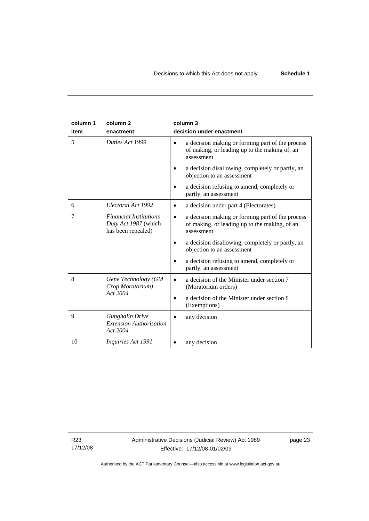| column 1<br>item | column <sub>2</sub><br>enactment                                            | column 3<br>decision under enactment                                                                                                                                                                                                                                                   |
|------------------|-----------------------------------------------------------------------------|----------------------------------------------------------------------------------------------------------------------------------------------------------------------------------------------------------------------------------------------------------------------------------------|
| 5                | Duties Act 1999                                                             | a decision making or forming part of the process<br>of making, or leading up to the making of, an<br>assessment<br>a decision disallowing, completely or partly, an<br>objection to an assessment                                                                                      |
|                  |                                                                             | a decision refusing to amend, completely or<br>partly, an assessment                                                                                                                                                                                                                   |
| 6                | Electoral Act 1992                                                          | a decision under part 4 (Electorates)                                                                                                                                                                                                                                                  |
| 7                | <b>Financial Institutions</b><br>Duty Act 1987 (which<br>has been repealed) | a decision making or forming part of the process<br>$\bullet$<br>of making, or leading up to the making, of an<br>assessment<br>a decision disallowing, completely or partly, an<br>objection to an assessment<br>a decision refusing to amend, completely or<br>partly, an assessment |
| 8                | Gene Technology (GM<br>Crop Moratorium)<br>Act 2004                         | a decision of the Minister under section 7<br>$\bullet$<br>(Moratorium orders)<br>a decision of the Minister under section 8<br>(Exemptions)                                                                                                                                           |
| 9                | <b>Gunghalin Drive</b><br><b>Extension Authorisation</b><br>Act 2004        | any decision                                                                                                                                                                                                                                                                           |
| 10               | <i>Inquiries Act 1991</i>                                                   | any decision                                                                                                                                                                                                                                                                           |

R23 17/12/08 page 23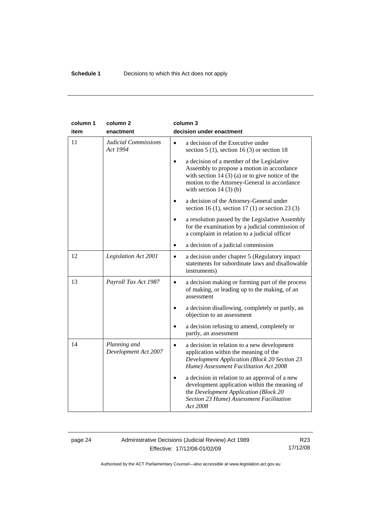| column 1 | column <sub>2</sub>                     | column 3                                                                                                                                                                                                                              |
|----------|-----------------------------------------|---------------------------------------------------------------------------------------------------------------------------------------------------------------------------------------------------------------------------------------|
| item     | enactment                               | decision under enactment                                                                                                                                                                                                              |
| 11       | <b>Judicial Commissions</b><br>Act 1994 | a decision of the Executive under<br>section $5(1)$ , section $16(3)$ or section 18                                                                                                                                                   |
|          |                                         | a decision of a member of the Legislative<br>$\bullet$<br>Assembly to propose a motion in accordance<br>with section 14 $(3)$ (a) or to give notice of the<br>motion to the Attorney-General in accordance<br>with section $14(3)(b)$ |
|          |                                         | a decision of the Attorney-General under<br>$\bullet$<br>section 16 (1), section 17 (1) or section 23 (3)                                                                                                                             |
|          |                                         | a resolution passed by the Legislative Assembly<br>for the examination by a judicial commission of<br>a complaint in relation to a judicial officer                                                                                   |
|          |                                         | a decision of a judicial commission                                                                                                                                                                                                   |
| 12       | Legislation Act 2001                    | a decision under chapter 5 (Regulatory impact<br>$\bullet$<br>statements for subordinate laws and disallowable<br>instruments)                                                                                                        |
| 13       | Payroll Tax Act 1987                    | a decision making or forming part of the process<br>$\bullet$<br>of making, or leading up to the making, of an<br>assessment                                                                                                          |
|          |                                         | a decision disallowing, completely or partly, an<br>$\bullet$<br>objection to an assessment                                                                                                                                           |
|          |                                         | a decision refusing to amend, completely or<br>partly, an assessment                                                                                                                                                                  |
| 14       | Planning and<br>Development Act 2007    | a decision in relation to a new development<br>$\bullet$<br>application within the meaning of the<br><b>Development Application (Block 20 Section 23</b><br>Hume) Assessment Facilitation Act 2008                                    |
|          |                                         | a decision in relation to an approval of a new<br>development application within the meaning of<br>the Development Application (Block 20<br>Section 23 Hume) Assessment Facilitation<br>Act 2008                                      |

## page 24 Administrative Decisions (Judicial Review) Act 1989 Effective: 17/12/08-01/02/09

R23 17/12/08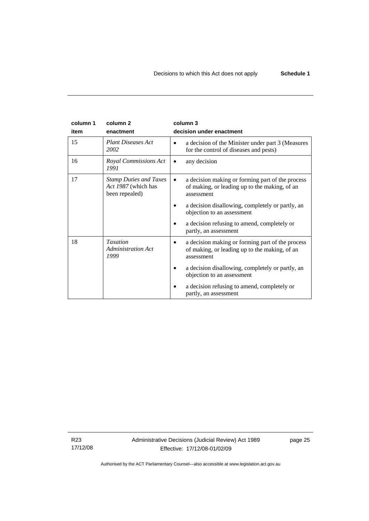| column 1 | column <sub>2</sub>                                                    | column 3                                                                                                        |
|----------|------------------------------------------------------------------------|-----------------------------------------------------------------------------------------------------------------|
| item     | enactment                                                              | decision under enactment                                                                                        |
| 15       | <b>Plant Diseases Act</b><br>2002                                      | a decision of the Minister under part 3 (Measures<br>for the control of diseases and pests)                     |
| 16       | Royal Commissions Act<br>1991                                          | any decision                                                                                                    |
| 17       | <b>Stamp Duties and Taxes</b><br>Act 1987 (which has<br>been repealed) | a decision making or forming part of the process<br>of making, or leading up to the making, of an<br>assessment |
|          |                                                                        | a decision disallowing, completely or partly, an<br>objection to an assessment                                  |
|          |                                                                        | a decision refusing to amend, completely or<br>partly, an assessment                                            |
| 18       | <b>Taxation</b><br><b>Administration Act</b><br>1999                   | a decision making or forming part of the process<br>of making, or leading up to the making, of an<br>assessment |
|          |                                                                        | a decision disallowing, completely or partly, an<br>objection to an assessment                                  |
|          |                                                                        | a decision refusing to amend, completely or<br>partly, an assessment                                            |

R23 17/12/08 Administrative Decisions (Judicial Review) Act 1989 Effective: 17/12/08-01/02/09

page 25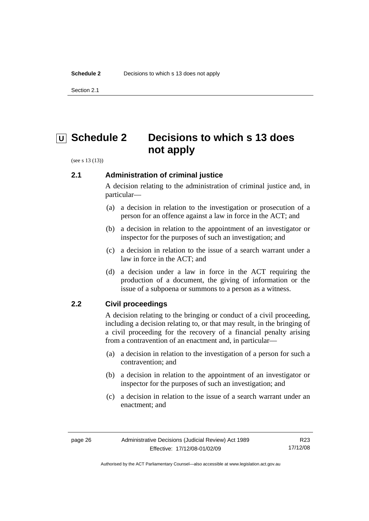<span id="page-29-0"></span>Section 2.1

# **<u>U</u>** Schedule 2 Decisions to which s 13 does **not apply**

(see s 13 (13))

## **2.1 Administration of criminal justice**

A decision relating to the administration of criminal justice and, in particular—

- (a) a decision in relation to the investigation or prosecution of a person for an offence against a law in force in the ACT; and
- (b) a decision in relation to the appointment of an investigator or inspector for the purposes of such an investigation; and
- (c) a decision in relation to the issue of a search warrant under a law in force in the ACT; and
- (d) a decision under a law in force in the ACT requiring the production of a document, the giving of information or the issue of a subpoena or summons to a person as a witness.

## **2.2 Civil proceedings**

A decision relating to the bringing or conduct of a civil proceeding, including a decision relating to, or that may result, in the bringing of a civil proceeding for the recovery of a financial penalty arising from a contravention of an enactment and, in particular—

- (a) a decision in relation to the investigation of a person for such a contravention; and
- (b) a decision in relation to the appointment of an investigator or inspector for the purposes of such an investigation; and
- (c) a decision in relation to the issue of a search warrant under an enactment; and

Authorised by the ACT Parliamentary Counsel—also accessible at www.legislation.act.gov.au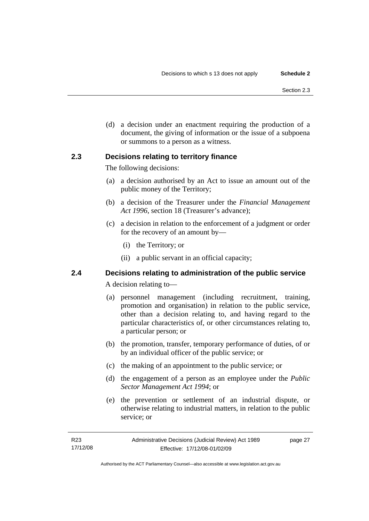<span id="page-30-0"></span> (d) a decision under an enactment requiring the production of a document, the giving of information or the issue of a subpoena or summons to a person as a witness.

## **2.3 Decisions relating to territory finance**

The following decisions:

- (a) a decision authorised by an Act to issue an amount out of the public money of the Territory;
- (b) a decision of the Treasurer under the *Financial Management Act 1996*, section 18 (Treasurer's advance);
- (c) a decision in relation to the enforcement of a judgment or order for the recovery of an amount by—
	- (i) the Territory; or
	- (ii) a public servant in an official capacity;

## **2.4 Decisions relating to administration of the public service**

A decision relating to—

- (a) personnel management (including recruitment, training, promotion and organisation) in relation to the public service, other than a decision relating to, and having regard to the particular characteristics of, or other circumstances relating to, a particular person; or
- (b) the promotion, transfer, temporary performance of duties, of or by an individual officer of the public service; or
- (c) the making of an appointment to the public service; or
- (d) the engagement of a person as an employee under the *Public Sector Management Act 1994*; or
- (e) the prevention or settlement of an industrial dispute, or otherwise relating to industrial matters, in relation to the public service; or

Authorised by the ACT Parliamentary Counsel—also accessible at www.legislation.act.gov.au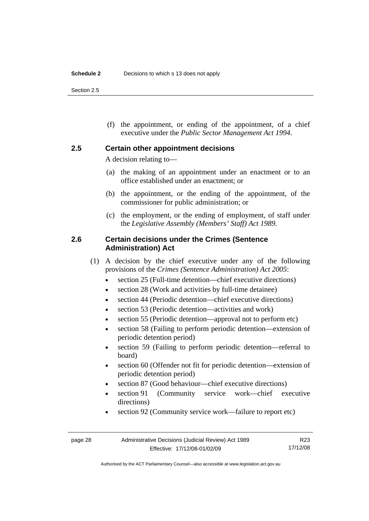<span id="page-31-0"></span>Section 2.5

 (f) the appointment, or ending of the appointment, of a chief executive under the *Public Sector Management Act 1994*.

#### **2.5 Certain other appointment decisions**

A decision relating to—

- (a) the making of an appointment under an enactment or to an office established under an enactment; or
- (b) the appointment, or the ending of the appointment, of the commissioner for public administration; or
- (c) the employment, or the ending of employment, of staff under the *Legislative Assembly (Members' Staff) Act 1989*.

## **2.6 Certain decisions under the Crimes (Sentence Administration) Act**

- (1) A decision by the chief executive under any of the following provisions of the *Crimes (Sentence Administration) Act 2005*:
	- section 25 (Full-time detention—chief executive directions)
	- section 28 (Work and activities by full-time detainee)
	- section 44 (Periodic detention—chief executive directions)
	- section 53 (Periodic detention—activities and work)
	- section 55 (Periodic detention—approval not to perform etc)
	- section 58 (Failing to perform periodic detention—extension of periodic detention period)
	- section 59 (Failing to perform periodic detention—referral to board)
	- section 60 (Offender not fit for periodic detention—extension of periodic detention period)
	- section 87 (Good behaviour—chief executive directions)
	- section 91 (Community service work—chief executive directions)
	- section 92 (Community service work—failure to report etc)

R23 17/12/08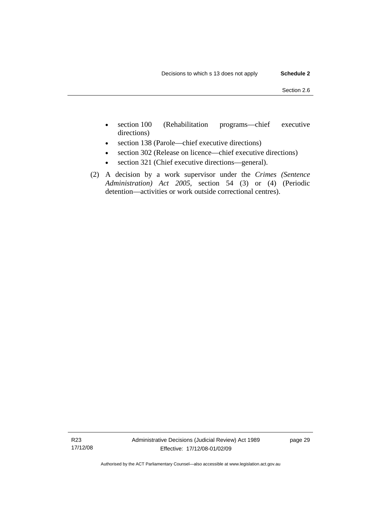- section 100 (Rehabilitation programs—chief executive directions)
- section 138 (Parole—chief executive directions)
- section 302 (Release on licence—chief executive directions)
- section 321 (Chief executive directions—general).
- (2) A decision by a work supervisor under the *Crimes (Sentence Administration) Act 2005*, section 54 (3) or (4) (Periodic detention—activities or work outside correctional centres).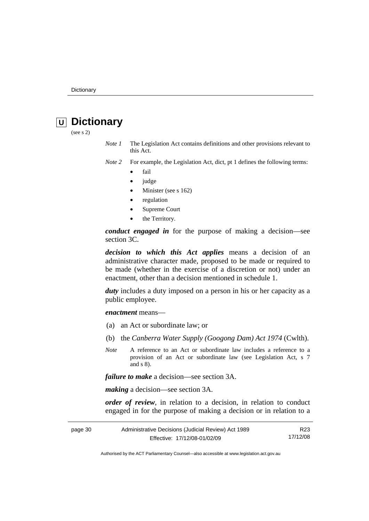# <span id="page-33-0"></span> **U Dictionary**

(see s 2)

*Note 1* The Legislation Act contains definitions and other provisions relevant to this Act.

*Note 2* For example, the Legislation Act, dict, pt 1 defines the following terms:

- fail
- judge
- Minister (see s 162)
- regulation
- Supreme Court
- the Territory.

*conduct engaged in* for the purpose of making a decision—see section 3C.

*decision to which this Act applies* means a decision of an administrative character made, proposed to be made or required to be made (whether in the exercise of a discretion or not) under an enactment, other than a decision mentioned in schedule 1.

*duty* includes a duty imposed on a person in his or her capacity as a public employee.

*enactment* means—

- (a) an Act or subordinate law; or
- (b) the *Canberra Water Supply (Googong Dam) Act 1974* (Cwlth).
- *Note* A reference to an Act or subordinate law includes a reference to a provision of an Act or subordinate law (see Legislation Act, s 7 and s 8).

*failure to make* a decision—see section 3A.

*making* a decision—see section 3A.

*order of review*, in relation to a decision, in relation to conduct engaged in for the purpose of making a decision or in relation to a

| page 30 | Administrative Decisions (Judicial Review) Act 1989 | R23      |
|---------|-----------------------------------------------------|----------|
|         | Effective: 17/12/08-01/02/09                        | 17/12/08 |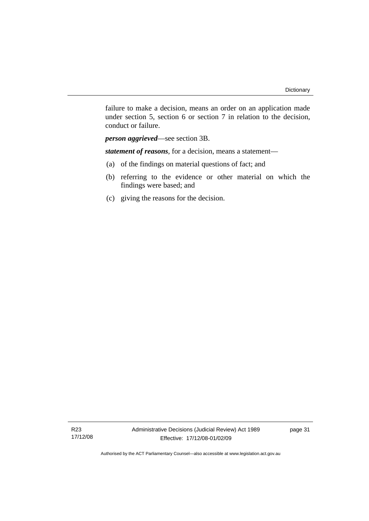failure to make a decision, means an order on an application made under section 5, section 6 or section 7 in relation to the decision, conduct or failure.

*person aggrieved*—see section 3B.

*statement of reasons*, for a decision, means a statement—

- (a) of the findings on material questions of fact; and
- (b) referring to the evidence or other material on which the findings were based; and
- (c) giving the reasons for the decision.

R23 17/12/08 page 31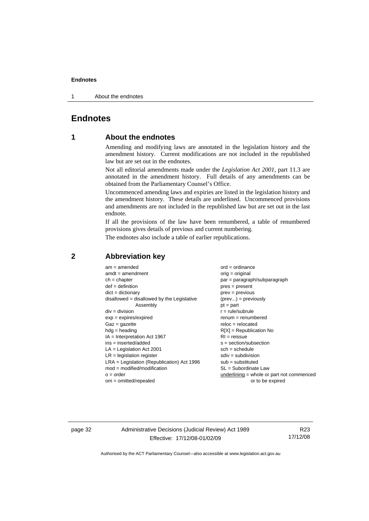<span id="page-35-0"></span>1 About the endnotes

## **Endnotes**

## **1 About the endnotes**

Amending and modifying laws are annotated in the legislation history and the amendment history. Current modifications are not included in the republished law but are set out in the endnotes.

Not all editorial amendments made under the *Legislation Act 2001*, part 11.3 are annotated in the amendment history. Full details of any amendments can be obtained from the Parliamentary Counsel's Office.

Uncommenced amending laws and expiries are listed in the legislation history and the amendment history. These details are underlined. Uncommenced provisions and amendments are not included in the republished law but are set out in the last endnote.

If all the provisions of the law have been renumbered, a table of renumbered provisions gives details of previous and current numbering.

The endnotes also include a table of earlier republications.

| $am = amended$                               | $ord = ordinance$                         |
|----------------------------------------------|-------------------------------------------|
| $amdt = amendment$                           | $orig = original$                         |
| $ch = chapter$                               | par = paragraph/subparagraph              |
| $def = definition$                           | $pres = present$                          |
| $dict = dictionary$                          | $prev = previous$                         |
| $disallowed = disallowed by the Legislative$ | $(\text{prev}) = \text{previously}$       |
| Assembly                                     | $pt = part$                               |
| $div = division$                             | $r = rule/subrule$                        |
| $exp = expires/expired$                      | $renum = renumbered$                      |
| $Gaz = gazette$                              | $reloc = relocated$                       |
| $h dq =$ heading                             | $R[X]$ = Republication No                 |
| $IA = Interpretation Act 1967$               | $RI = reissue$                            |
| $ins = inserted/added$                       | $s = section/subsection$                  |
| $LA =$ Legislation Act 2001                  | $sch = schedule$                          |
| $LR =$ legislation register                  | $sdiv = subdivision$                      |
| $LRA =$ Legislation (Republication) Act 1996 | $sub =$ substituted                       |
| $mod = modified/modification$                | $SL = Subordinate$ Law                    |
| $o = order$                                  | underlining = whole or part not commenced |
| $om = omitted/report$                        | or to be expired                          |
|                                              |                                           |

#### **2 Abbreviation key**

page 32 Administrative Decisions (Judicial Review) Act 1989 Effective: 17/12/08-01/02/09

R23 17/12/08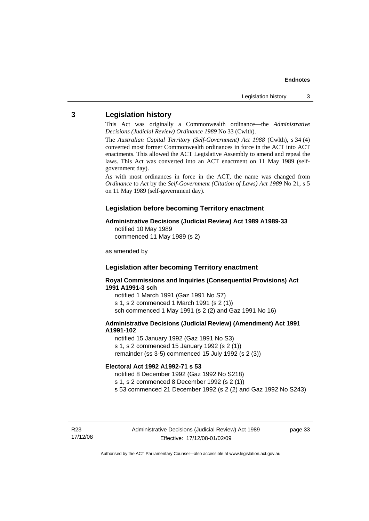## <span id="page-36-0"></span>**3 Legislation history**

This Act was originally a Commonwealth ordinance—the *Administrative Decisions (Judicial Review) Ordinance 1989* No 33 (Cwlth).

The *Australian Capital Territory (Self-Government) Act 1988* (Cwlth), s 34 (4) converted most former Commonwealth ordinances in force in the ACT into ACT enactments. This allowed the ACT Legislative Assembly to amend and repeal the laws. This Act was converted into an ACT enactment on 11 May 1989 (selfgovernment day).

As with most ordinances in force in the ACT, the name was changed from *Ordinance* to *Act* by the *Self-Government (Citation of Laws) Act 1989* No 21, s 5 on 11 May 1989 (self-government day).

#### **Legislation before becoming Territory enactment**

#### **Administrative Decisions (Judicial Review) Act 1989 A1989-33**

notified 10 May 1989 commenced 11 May 1989 (s 2)

as amended by

## **Legislation after becoming Territory enactment**

**Royal Commissions and Inquiries (Consequential Provisions) Act 1991 A1991-3 sch** 

notified 1 March 1991 (Gaz 1991 No S7) s 1, s 2 commenced 1 March 1991 (s 2 (1)) sch commenced 1 May 1991 (s 2 (2) and Gaz 1991 No 16)

#### **Administrative Decisions (Judicial Review) (Amendment) Act 1991 A1991-102**

notified 15 January 1992 (Gaz 1991 No S3) s 1, s 2 commenced 15 January 1992 (s 2 (1)) remainder (ss 3-5) commenced 15 July 1992 (s 2 (3))

#### **Electoral Act 1992 A1992-71 s 53**

notified 8 December 1992 (Gaz 1992 No S218)

s 1, s 2 commenced 8 December 1992 (s 2 (1))

s 53 commenced 21 December 1992 (s 2 (2) and Gaz 1992 No S243)

R23 17/12/08 page 33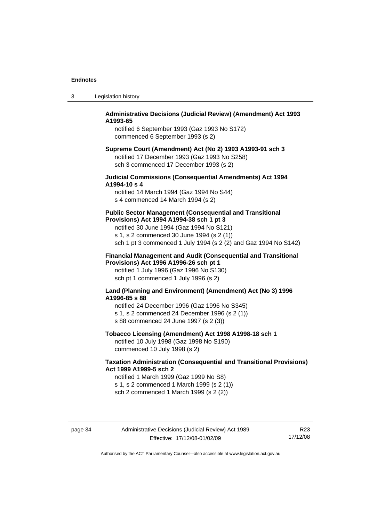| Legislation history | -3 |  |  |
|---------------------|----|--|--|
|---------------------|----|--|--|

#### **Administrative Decisions (Judicial Review) (Amendment) Act 1993 A1993-65**

notified 6 September 1993 (Gaz 1993 No S172) commenced 6 September 1993 (s 2)

#### **Supreme Court (Amendment) Act (No 2) 1993 A1993-91 sch 3**  notified 17 December 1993 (Gaz 1993 No S258) sch 3 commenced 17 December 1993 (s 2)

#### **Judicial Commissions (Consequential Amendments) Act 1994 A1994-10 s 4**

notified 14 March 1994 (Gaz 1994 No S44) s 4 commenced 14 March 1994 (s 2)

#### **Public Sector Management (Consequential and Transitional Provisions) Act 1994 A1994-38 sch 1 pt 3**

notified 30 June 1994 (Gaz 1994 No S121) s 1, s 2 commenced 30 June 1994 (s 2 (1)) sch 1 pt 3 commenced 1 July 1994 (s 2 (2) and Gaz 1994 No S142)

#### **Financial Management and Audit (Consequential and Transitional Provisions) Act 1996 A1996-26 sch pt 1**

notified 1 July 1996 (Gaz 1996 No S130) sch pt 1 commenced 1 July 1996 (s 2)

#### **Land (Planning and Environment) (Amendment) Act (No 3) 1996 A1996-85 s 88**

notified 24 December 1996 (Gaz 1996 No S345) s 1, s 2 commenced 24 December 1996 (s 2 (1)) s 88 commenced 24 June 1997 (s 2 (3))

## **Tobacco Licensing (Amendment) Act 1998 A1998-18 sch 1**

notified 10 July 1998 (Gaz 1998 No S190) commenced 10 July 1998 (s 2)

#### **Taxation Administration (Consequential and Transitional Provisions) Act 1999 A1999-5 sch 2**

notified 1 March 1999 (Gaz 1999 No S8) s 1, s 2 commenced 1 March 1999 (s 2 (1)) sch 2 commenced 1 March 1999 (s 2 (2))

R23 17/12/08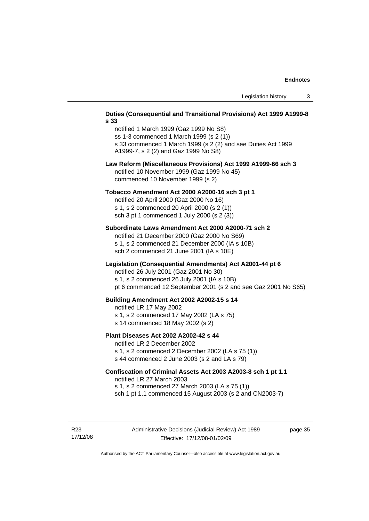#### **Duties (Consequential and Transitional Provisions) Act 1999 A1999-8 s 33**

notified 1 March 1999 (Gaz 1999 No S8) ss 1-3 commenced 1 March 1999 (s 2 (1)) s 33 commenced 1 March 1999 (s 2 (2) and see Duties Act 1999 A1999-7, s 2 (2) and Gaz 1999 No S8)

#### **Law Reform (Miscellaneous Provisions) Act 1999 A1999-66 sch 3**  notified 10 November 1999 (Gaz 1999 No 45) commenced 10 November 1999 (s 2)

#### **Tobacco Amendment Act 2000 A2000-16 sch 3 pt 1**

notified 20 April 2000 (Gaz 2000 No 16) s 1, s 2 commenced 20 April 2000 (s 2 (1)) sch 3 pt 1 commenced 1 July 2000 (s 2 (3))

#### **Subordinate Laws Amendment Act 2000 A2000-71 sch 2**

notified 21 December 2000 (Gaz 2000 No S69) s 1, s 2 commenced 21 December 2000 (IA s 10B) sch 2 commenced 21 June 2001 (IA s 10E)

#### **Legislation (Consequential Amendments) Act A2001-44 pt 6**

notified 26 July 2001 (Gaz 2001 No 30)

s 1, s 2 commenced 26 July 2001 (IA s 10B)

pt 6 commenced 12 September 2001 (s 2 and see Gaz 2001 No S65)

#### **Building Amendment Act 2002 A2002-15 s 14**

notified LR 17 May 2002

- s 1, s 2 commenced 17 May 2002 (LA s 75)
- s 14 commenced 18 May 2002 (s 2)

#### **Plant Diseases Act 2002 A2002-42 s 44**

notified LR 2 December 2002

s 1, s 2 commenced 2 December 2002 (LA s 75 (1)) s 44 commenced 2 June 2003 (s 2 and LA s 79)

## **Confiscation of Criminal Assets Act 2003 A2003-8 sch 1 pt 1.1**  notified LR 27 March 2003 s 1, s 2 commenced 27 March 2003 (LA s 75 (1))

sch 1 pt 1.1 commenced 15 August 2003 (s 2 and CN2003-7)

R23 17/12/08 page 35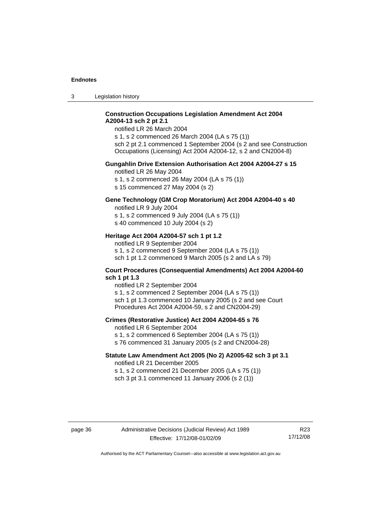3 Legislation history

#### **Construction Occupations Legislation Amendment Act 2004 A2004-13 sch 2 pt 2.1**

notified LR 26 March 2004

s 1, s 2 commenced 26 March 2004 (LA s 75 (1)) sch 2 pt 2.1 commenced 1 September 2004 (s 2 and see Construction Occupations (Licensing) Act 2004 A2004-12, s 2 and CN2004-8)

#### **Gungahlin Drive Extension Authorisation Act 2004 A2004-27 s 15**

notified LR 26 May 2004

s 1, s 2 commenced 26 May 2004 (LA s 75 (1))

s 15 commenced 27 May 2004 (s 2)

## **Gene Technology (GM Crop Moratorium) Act 2004 A2004-40 s 40**

notified LR 9 July 2004

s 1, s 2 commenced 9 July 2004 (LA s 75 (1)) s 40 commenced 10 July 2004 (s 2)

## **Heritage Act 2004 A2004-57 sch 1 pt 1.2**

notified LR 9 September 2004 s 1, s 2 commenced 9 September 2004 (LA s 75 (1)) sch 1 pt 1.2 commenced 9 March 2005 (s 2 and LA s 79)

#### **Court Procedures (Consequential Amendments) Act 2004 A2004-60 sch 1 pt 1.3**

notified LR 2 September 2004 s 1, s 2 commenced 2 September 2004 (LA s 75 (1)) sch 1 pt 1.3 commenced 10 January 2005 (s 2 and see Court Procedures Act 2004 A2004-59, s 2 and CN2004-29)

#### **Crimes (Restorative Justice) Act 2004 A2004-65 s 76**

notified LR 6 September 2004

- s 1, s 2 commenced 6 September 2004 (LA s 75 (1))
- s 76 commenced 31 January 2005 (s 2 and CN2004-28)

#### **Statute Law Amendment Act 2005 (No 2) A2005-62 sch 3 pt 3.1**

notified LR 21 December 2005 s 1, s 2 commenced 21 December 2005 (LA s 75 (1)) sch 3 pt 3.1 commenced 11 January 2006 (s 2 (1))

R23 17/12/08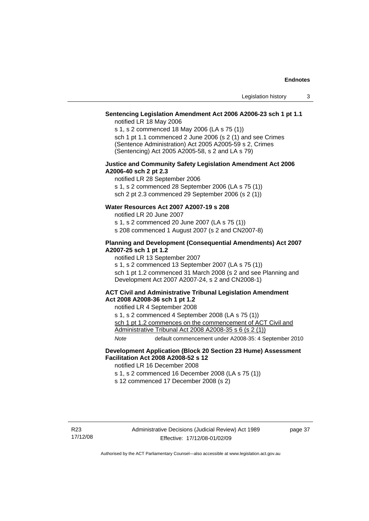### **Sentencing Legislation Amendment Act 2006 A2006-23 sch 1 pt 1.1**

notified LR 18 May 2006

s 1, s 2 commenced 18 May 2006 (LA s 75 (1)) sch 1 pt 1.1 commenced 2 June 2006 (s 2 (1) and see Crimes (Sentence Administration) Act 2005 A2005-59 s 2, Crimes (Sentencing) Act 2005 A2005-58, s 2 and LA s 79)

#### **Justice and Community Safety Legislation Amendment Act 2006 A2006-40 sch 2 pt 2.3**

notified LR 28 September 2006 s 1, s 2 commenced 28 September 2006 (LA s 75 (1)) sch 2 pt 2.3 commenced 29 September 2006 (s 2 (1))

### **Water Resources Act 2007 A2007-19 s 208**

notified LR 20 June 2007

s 1, s 2 commenced 20 June 2007 (LA s 75 (1))

s 208 commenced 1 August 2007 (s 2 and CN2007-8)

#### **Planning and Development (Consequential Amendments) Act 2007 A2007-25 sch 1 pt 1.2**

notified LR 13 September 2007

s 1, s 2 commenced 13 September 2007 (LA s 75 (1)) sch 1 pt 1.2 commenced 31 March 2008 (s 2 and see Planning and Development Act 2007 A2007-24, s 2 and CN2008-1)

#### **ACT Civil and Administrative Tribunal Legislation Amendment Act 2008 A2008-36 sch 1 pt 1.2**

notified LR 4 September 2008

s 1, s 2 commenced 4 September 2008 (LA s 75 (1))

sch 1 pt 1.2 commences on the commencement of ACT Civil and Administrative Tribunal Act 2008 A2008-35 s 6 (s 2 (1))

*Note* default commencement under A2008-35: 4 September 2010

#### **Development Application (Block 20 Section 23 Hume) Assessment Facilitation Act 2008 A2008-52 s 12**

notified LR 16 December 2008

- s 1, s 2 commenced 16 December 2008 (LA s 75 (1))
- s 12 commenced 17 December 2008 (s 2)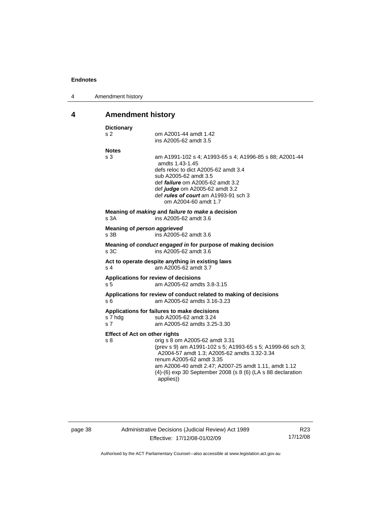<span id="page-41-0"></span>

| 4 | Amendment history |
|---|-------------------|
|---|-------------------|

# **4 Amendment history**

| s <sub>2</sub><br>om A2001-44 amdt 1.42<br>ins A2005-62 amdt 3.5<br><b>Notes</b><br>s <sub>3</sub><br>amdts 1.43-1.45<br>defs reloc to dict A2005-62 amdt 3.4<br>sub A2005-62 amdt 3.5<br>def <i>failure</i> om A2005-62 amdt 3.2<br>def judge om A2005-62 amdt 3.2<br>def <i>rules of court</i> am A1993-91 sch 3<br>om A2004-60 amdt 1.7<br>Meaning of <i>making</i> and <i>failure to make</i> a decision<br>s.3A<br>ins A2005-62 amdt 3.6<br>Meaning of person aggrieved<br>ins A2005-62 amdt 3.6<br>s 3B<br>Meaning of conduct engaged in for purpose of making decision<br>s <sub>3C</sub><br>ins A2005-62 amdt 3.6<br>Act to operate despite anything in existing laws<br>am A2005-62 amdt 3.7<br>s <sub>4</sub><br>Applications for review of decisions<br>am A2005-62 amdts 3.8-3.15<br>s 5<br>Applications for review of conduct related to making of decisions<br>s <sub>6</sub><br>am A2005-62 amdts 3.16-3.23<br>Applications for failures to make decisions<br>sub A2005-62 amdt 3.24<br>s 7 hdg<br>am A2005-62 amdts 3.25-3.30<br>s <sub>7</sub> |  |                                                         |
|-----------------------------------------------------------------------------------------------------------------------------------------------------------------------------------------------------------------------------------------------------------------------------------------------------------------------------------------------------------------------------------------------------------------------------------------------------------------------------------------------------------------------------------------------------------------------------------------------------------------------------------------------------------------------------------------------------------------------------------------------------------------------------------------------------------------------------------------------------------------------------------------------------------------------------------------------------------------------------------------------------------------------------------------------------------------|--|---------------------------------------------------------|
|                                                                                                                                                                                                                                                                                                                                                                                                                                                                                                                                                                                                                                                                                                                                                                                                                                                                                                                                                                                                                                                                 |  |                                                         |
|                                                                                                                                                                                                                                                                                                                                                                                                                                                                                                                                                                                                                                                                                                                                                                                                                                                                                                                                                                                                                                                                 |  |                                                         |
|                                                                                                                                                                                                                                                                                                                                                                                                                                                                                                                                                                                                                                                                                                                                                                                                                                                                                                                                                                                                                                                                 |  | am A1991-102 s 4; A1993-65 s 4; A1996-85 s 88; A2001-44 |
|                                                                                                                                                                                                                                                                                                                                                                                                                                                                                                                                                                                                                                                                                                                                                                                                                                                                                                                                                                                                                                                                 |  |                                                         |
|                                                                                                                                                                                                                                                                                                                                                                                                                                                                                                                                                                                                                                                                                                                                                                                                                                                                                                                                                                                                                                                                 |  |                                                         |
|                                                                                                                                                                                                                                                                                                                                                                                                                                                                                                                                                                                                                                                                                                                                                                                                                                                                                                                                                                                                                                                                 |  |                                                         |
|                                                                                                                                                                                                                                                                                                                                                                                                                                                                                                                                                                                                                                                                                                                                                                                                                                                                                                                                                                                                                                                                 |  |                                                         |
|                                                                                                                                                                                                                                                                                                                                                                                                                                                                                                                                                                                                                                                                                                                                                                                                                                                                                                                                                                                                                                                                 |  |                                                         |
|                                                                                                                                                                                                                                                                                                                                                                                                                                                                                                                                                                                                                                                                                                                                                                                                                                                                                                                                                                                                                                                                 |  |                                                         |
|                                                                                                                                                                                                                                                                                                                                                                                                                                                                                                                                                                                                                                                                                                                                                                                                                                                                                                                                                                                                                                                                 |  |                                                         |
| <b>Effect of Act on other rights</b>                                                                                                                                                                                                                                                                                                                                                                                                                                                                                                                                                                                                                                                                                                                                                                                                                                                                                                                                                                                                                            |  |                                                         |
| s 8<br>orig s 8 om A2005-62 amdt 3.31<br>(prev s 9) am A1991-102 s 5; A1993-65 s 5; A1999-66 sch 3;<br>A2004-57 amdt 1.3; A2005-62 amdts 3.32-3.34<br>renum A2005-62 amdt 3.35<br>am A2006-40 amdt 2.47; A2007-25 amdt 1.11, amdt 1.12<br>(4)-(6) exp 30 September 2008 (s 8 (6) (LA s 88 declaration<br>applies))                                                                                                                                                                                                                                                                                                                                                                                                                                                                                                                                                                                                                                                                                                                                              |  |                                                         |

page 38 Administrative Decisions (Judicial Review) Act 1989 Effective: 17/12/08-01/02/09

R23 17/12/08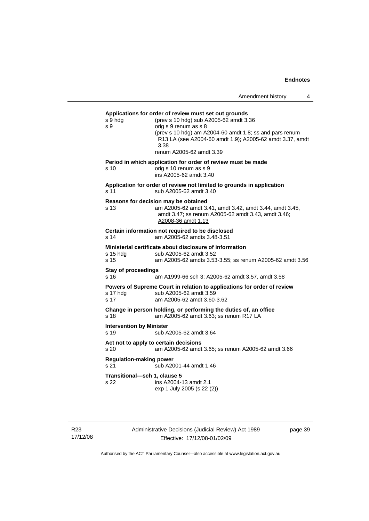| Amendment history |  |
|-------------------|--|
|-------------------|--|

**Applications for order of review must set out grounds**  s 9 hdg (prev s 10 hdg) sub A2005-62 amdt 3.36 s 9 orig s 9 renum as s 8 (prev s 10 hdg) am A2004-60 amdt 1.8; ss and pars renum R13 LA (see A2004-60 amdt 1.9); A2005-62 amdt 3.37, amdt 3.38 renum A2005-62 amdt 3.39 **Period in which application for order of review must be made**  s 10 orig s 10 renum as s 9 ins A2005-62 amdt 3.40 **Application for order of review not limited to grounds in application**  s 11 sub A2005-62 amdt 3.40 **Reasons for decision may be obtained**  s 13 am A2005-62 amdt 3.41, amdt 3.42, amdt 3.44, amdt 3.45, amdt 3.47; ss renum A2005-62 amdt 3.43, amdt 3.46; A2008-36 amdt 1.13 **Certain information not required to be disclosed**  s 14 am A2005-62 amdts 3.48-3.51 **Ministerial certificate about disclosure of information**  sub A2005-62 amdt 3.52 s 15 am A2005-62 amdts 3.53-3.55; ss renum A2005-62 amdt 3.56 **Stay of proceedings**  s 16 am A1999-66 sch 3; A2005-62 amdt 3.57, amdt 3.58 **Powers of Supreme Court in relation to applications for order of review**  s 17 hdg sub A2005-62 amdt 3.59 s 17 am A2005-62 amdt 3.60-3.62 **Change in person holding, or performing the duties of, an office**  s 18 am A2005-62 amdt 3.63; ss renum R17 LA **Intervention by Minister**  s 19 sub A2005-62 amdt 3.64 **Act not to apply to certain decisions**  s 20 am A2005-62 amdt 3.65; ss renum A2005-62 amdt 3.66 **Regulation-making power**  s 21 sub A2001-44 amdt 1.46 **Transitional—sch 1, clause 5**  s 22 ins A2004-13 amdt 2.1 exp 1 July 2005 (s 22 (2))

Administrative Decisions (Judicial Review) Act 1989 Effective: 17/12/08-01/02/09

page 39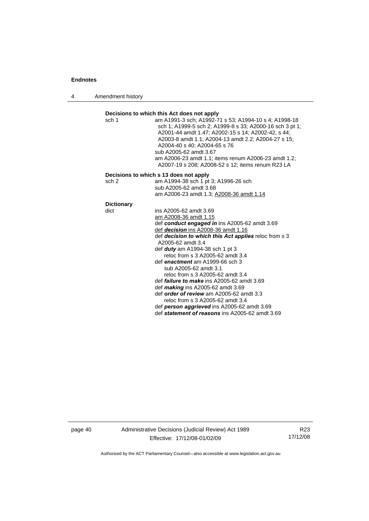4 Amendment history



page 40 Administrative Decisions (Judicial Review) Act 1989 Effective: 17/12/08-01/02/09

R23 17/12/08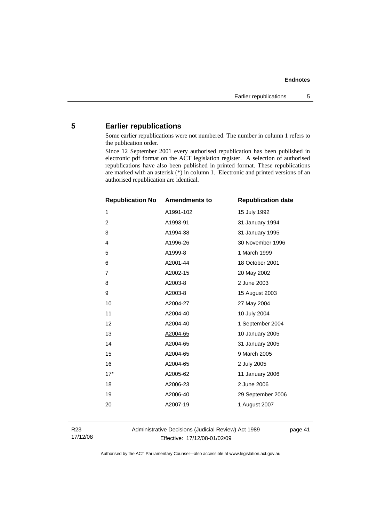## <span id="page-44-0"></span>**5 Earlier republications**

Some earlier republications were not numbered. The number in column 1 refers to the publication order.

Since 12 September 2001 every authorised republication has been published in electronic pdf format on the ACT legislation register. A selection of authorised republications have also been published in printed format. These republications are marked with an asterisk (\*) in column 1. Electronic and printed versions of an authorised republication are identical.

| <b>Republication No</b> | <b>Amendments to</b> | <b>Republication date</b> |
|-------------------------|----------------------|---------------------------|
| $\mathbf{1}$            | A1991-102            | 15 July 1992              |
| $\overline{2}$          | A1993-91             | 31 January 1994           |
| 3                       | A1994-38             | 31 January 1995           |
| 4                       | A1996-26             | 30 November 1996          |
| 5                       | A1999-8              | 1 March 1999              |
| 6                       | A2001-44             | 18 October 2001           |
| $\overline{7}$          | A2002-15             | 20 May 2002               |
| 8                       | A2003-8              | 2 June 2003               |
| 9                       | A2003-8              | 15 August 2003            |
| 10                      | A2004-27             | 27 May 2004               |
| 11                      | A2004-40             | 10 July 2004              |
| 12                      | A2004-40             | 1 September 2004          |
| 13                      | A2004-65             | 10 January 2005           |
| 14                      | A2004-65             | 31 January 2005           |
| 15                      | A2004-65             | 9 March 2005              |
| 16                      | A2004-65             | 2 July 2005               |
| $17*$                   | A2005-62             | 11 January 2006           |
| 18                      | A2006-23             | 2 June 2006               |
| 19                      | A2006-40             | 29 September 2006         |
| 20                      | A2007-19             | 1 August 2007             |
|                         |                      |                           |

R23 17/12/08 Administrative Decisions (Judicial Review) Act 1989 Effective: 17/12/08-01/02/09

page 41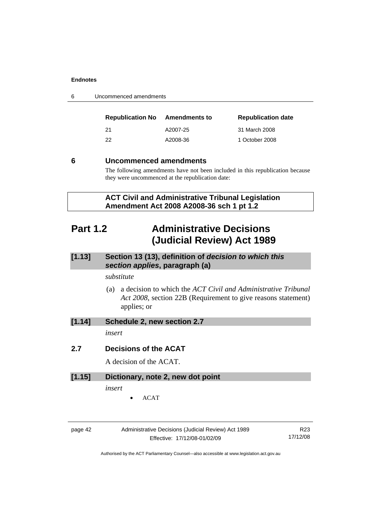<span id="page-45-0"></span>

| 6 | Uncommenced amendments |  |
|---|------------------------|--|
|---|------------------------|--|

| <b>Republication No</b> | Amendments to | <b>Republication date</b> |
|-------------------------|---------------|---------------------------|
| 21                      | A2007-25      | 31 March 2008             |
| 22                      | A2008-36      | 1 October 2008            |

## **6 Uncommenced amendments**

The following amendments have not been included in this republication because they were uncommenced at the republication date:

 **ACT Civil and Administrative Tribunal Legislation Amendment Act 2008 A2008-36 sch 1 pt 1.2** 

## **Part 1.2 Administrative Decisions (Judicial Review) Act 1989**

## **[1.13] Section 13 (13), definition of** *decision to which this section applies***, paragraph (a)**

## *substitute*

 (a) a decision to which the *ACT Civil and Administrative Tribunal Act 2008*, section 22B (Requirement to give reasons statement) applies; or

## **[1.14] Schedule 2, new section 2.7**

*insert* 

### **2.7 Decisions of the ACAT**

A decision of the ACAT.

#### **[1.15] Dictionary, note 2, new dot point**

*insert* 

• ACAT

| ane |  |
|-----|--|
|-----|--|

Administrative Decisions (Judicial Review) Act 1989 Effective: 17/12/08-01/02/09

R23 17/12/08